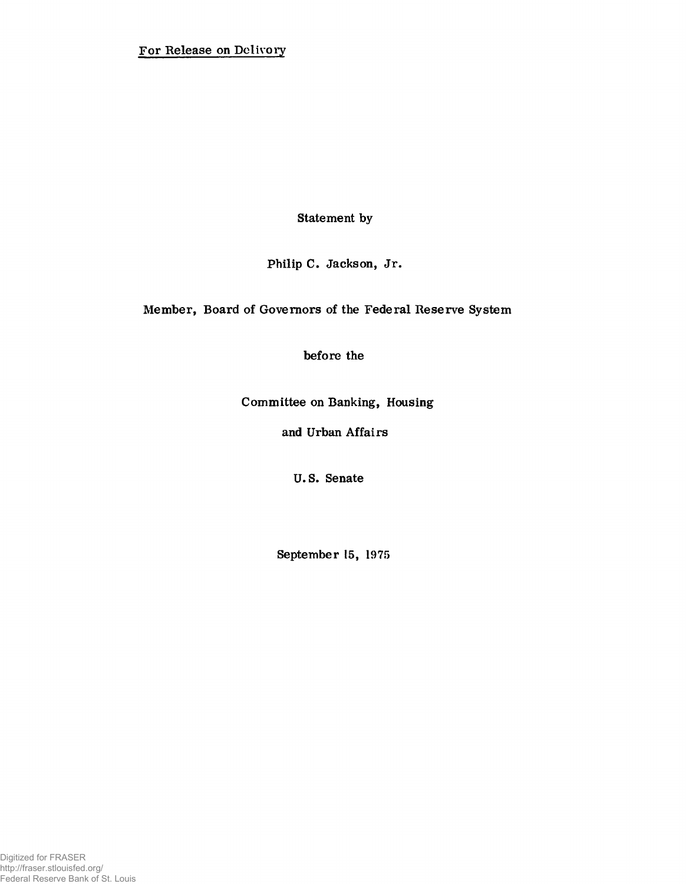**Statement by**

**Philip C. Jackson, Jr.**

**Member, Board of Governors of the Federal Reserve System**

**before the**

**Committee on Banking, Housing**

**and Urban Affairs**

**U.S. Senate**

**September 15, 1975**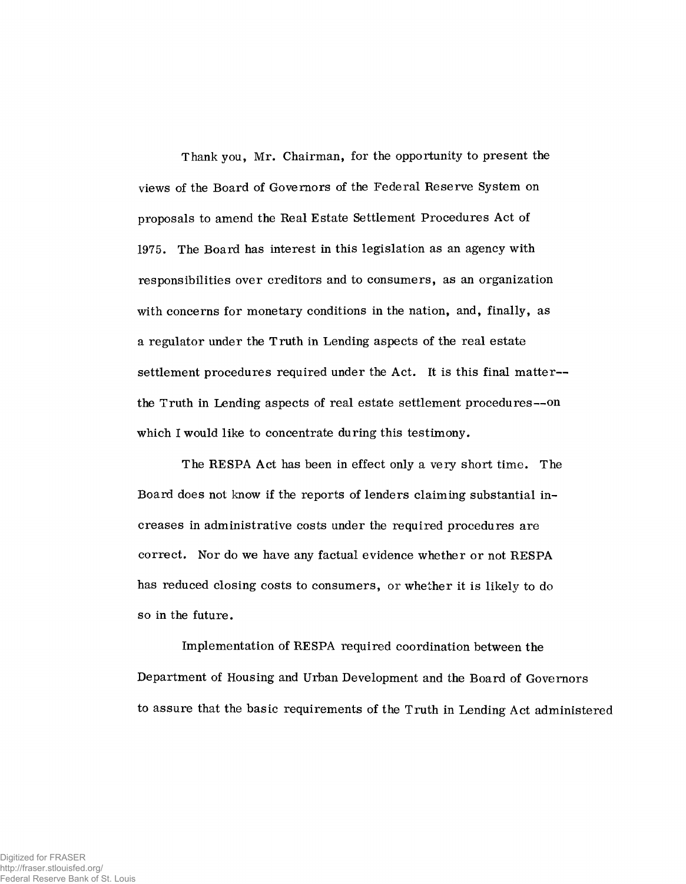Thank you, Mr. Chairman, for the opportunity to present the views of the Board of Governors of the Federal Reserve System on proposals to amend the Real Estate Settlement Procedures Act of 1975. The Board has interest in this legislation as an agency with responsibilities over creditors and to consumers, as an organization with concerns for monetary conditions in the nation, and, finally, as a regulator under the Truth in Lending aspects of the real estate settlement procedures required under the Act. It is this final matter the Truth in Lending aspects of real estate settlement procedures— on which I would like to concentrate during this testimony.

The RESPA Act has been in effect only a very short time. The Board does not know if the reports of lenders claiming substantial increases in administrative costs under the required procedures are correct. Nor do we have any factual evidence whether or not RESPA has reduced closing costs to consumers, or whether it is likely to do so in the future.

Implementation of RESPA required coordination between the Department of Housing and Urban Development and the Board of Governors to assure that the basic requirements of the Truth in Lending Act administered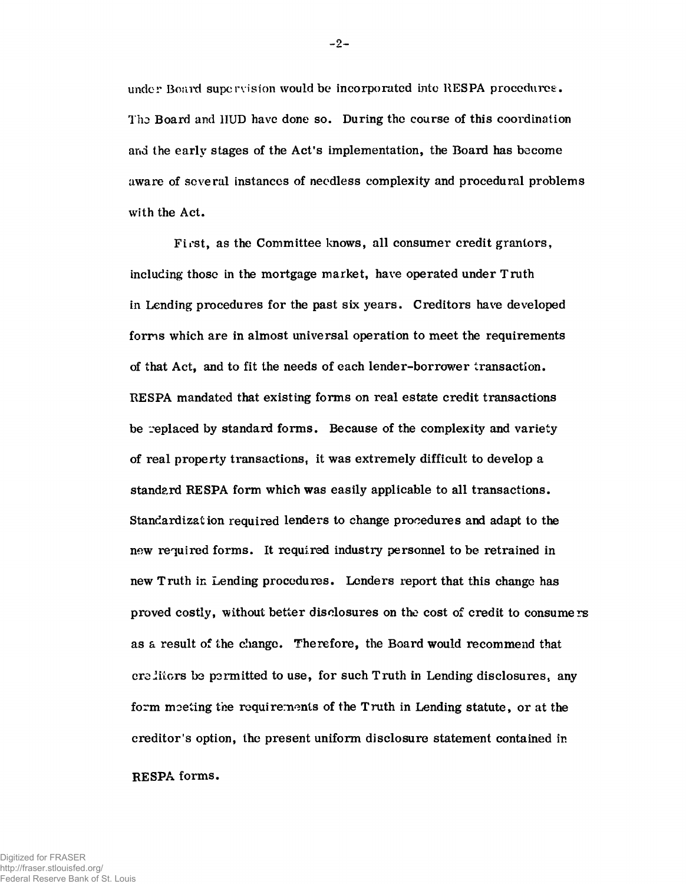under Board supervision would be incorporated into RESPA procedures:. **Tho Board and 1IUD have done so. During the course of this coordination and the early stages of the Act's implementation, the Board has become aware of several instances of needless complexity and procedural problems with the Act.**

**First, as the Committee knows, all consumer credit grantors, including those in the mortgage market, have operated under Truth in Lending procedures for the past six years. Creditors have developed forms which are in almost universal operation to meet the requirements of that Act, and to fit the needs of each lender-borrower transaction. RESPA mandated that existing forms on real estate credit transactions be replaced by standard forms. Because of the complexity and variety** of real property transactions, it was extremely difficult to develop a **standard RESPA form which was easily applicable to all transactions. Standardization required lenders to change procedures and adapt to the now required forms. It required industry personnel to be retrained in new Truth in Lending procedures. Lenders report that this change has proved costly, without better disclosures on the cost of credit to consumers as a result of the change. Therefore, the Board would recommend that ere Jiiors be permitted to use, for such Truth in Lending disclosures, any form moeting the requirements of the Truth in Lending statute, or at the creditor's option, the present uniform disclosure statement contained in RE SPA forms.**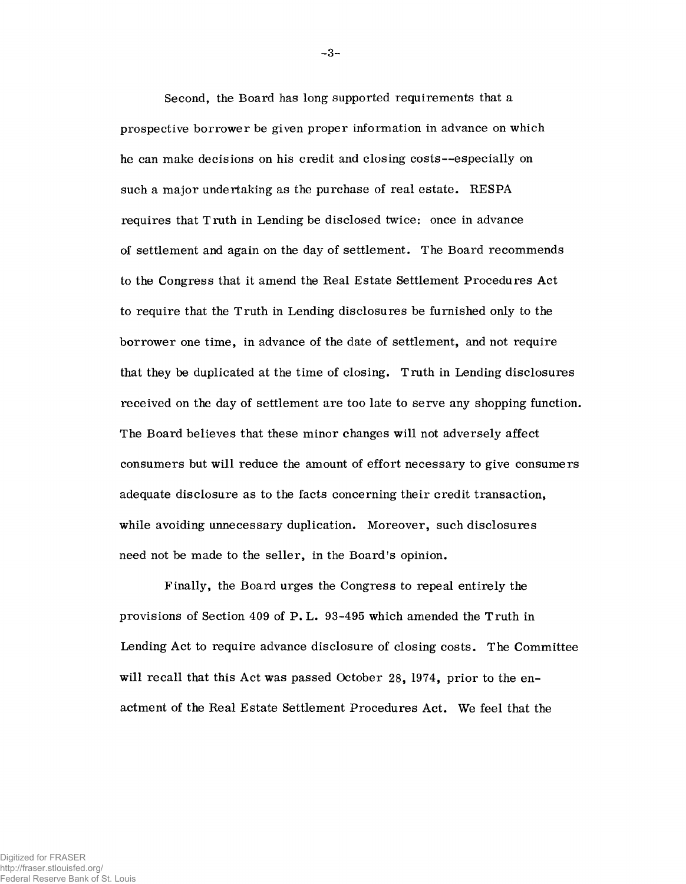Second, the Board has long supported requirements that a prospective borrower be given proper information in advance on which he can make decisions on his credit and closing costs—especially on such a major undertaking as the purchase of real estate. RESPA requires that Truth in Lending be disclosed twice: once in advance of settlement and again on the day of settlement. The Board recommends to the Congress that it amend the Real Estate Settlement Procedures Act to require that the Truth in Lending disclosures be furnished only to the borrower one time, in advance of the date of settlement, and not require that they be duplicated at the time of closing. Truth in Lending disclosures received on the day of settlement are too late to serve any shopping function. The Board believes that these minor changes will not adversely affect consumers but will reduce the amount of effort necessary to give consumers adequate disclosure as to the facts concerning their credit transaction, while avoiding unnecessary duplication. Moreover, such disclosures need not be made to the seller, in the Board's opinion.

Finally, the Board urges the Congress to repeal entirely the provisions of Section 409 of P.L. 93-495 which amended the Truth in Lending Act to require advance disclosure of closing costs. The Committee will recall that this Act was passed October 28, 1974, prior to the enactment of the Real Estate Settlement Procedures Act. We feel that the

**- 3-**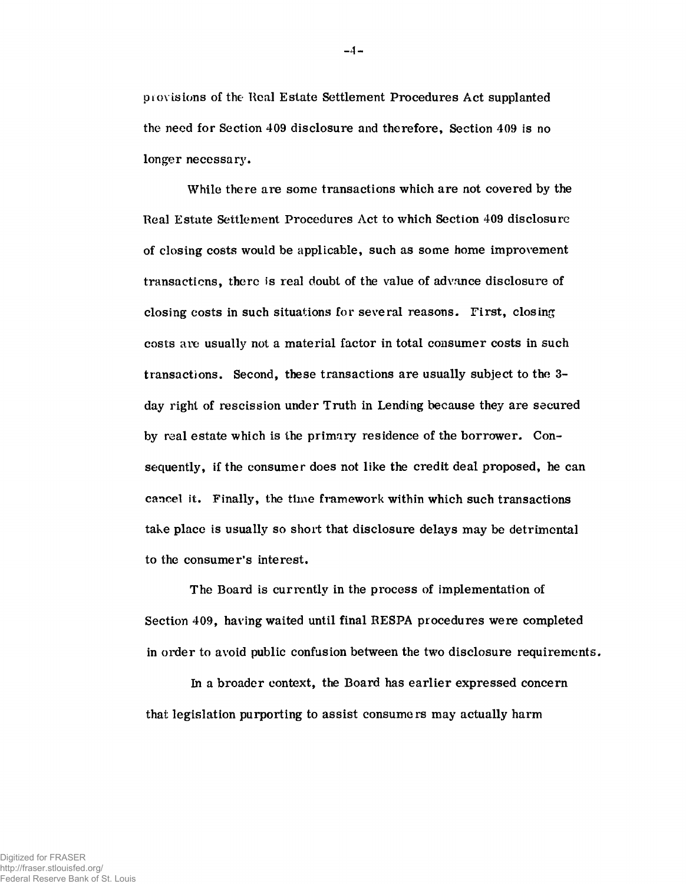**previsions of the Real Estate Settlement Procedures Act supplanted the need for Section 409 disclosure and therefore, Section 409 is no longer necessary.**

**While there are some transactions which are not covered by the Real Estate Settlement Procedures Act to which Section 409 disclosure of closing costs would be applicable, such as some home improvement transactions, there is real doubt of the value of advance disclosure of closing costs in such situations for several reasons. First, closing costs are usually not a material factor in total consumer costs in such transactions. Second, these transactions are usually subject to the 3 day right of rescission under Truth in Lending because they are secured by real estate which is the primary residence of the borrower. Consequently, if the consumer does not like the credit deal proposed, he can cancel it. Finally, the time framework within which such transactions take place is usually so short that disclosure delays may be detrimental to the consumer's interest.**

**The Board is currently in the process of implementation of Section 409, having waited until final RESPA procedures were completed in order to avoid public confusion between the two disclosure requirements.**

**In a broader context, the Board has earlier expressed concern that legislation purporting to assist consumers may actually harm**

 $-4-$